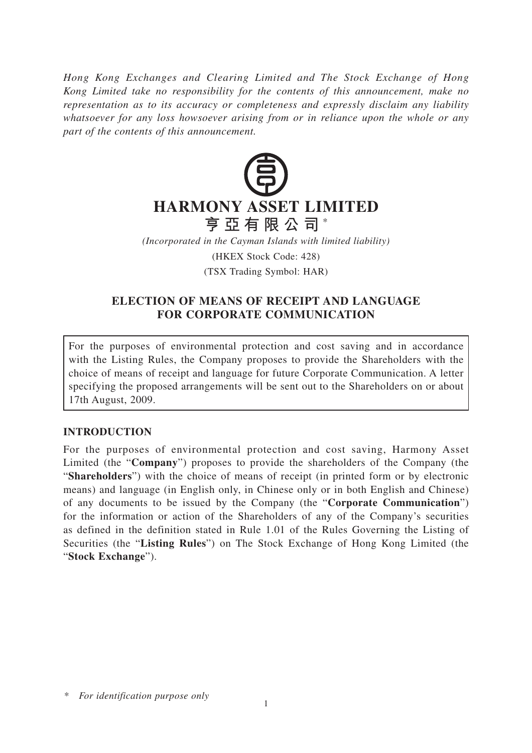*Hong Kong Exchanges and Clearing Limited and The Stock Exchange of Hong Kong Limited take no responsibility for the contents of this announcement, make no representation as to its accuracy or completeness and expressly disclaim any liability whatsoever for any loss howsoever arising from or in reliance upon the whole or any part of the contents of this announcement.*



*(Incorporated in the Cayman Islands with limited liability)*

(HKEX Stock Code: 428)

(TSX Trading Symbol: HAR)

## **ELECTION OF MEANS OF RECEIPT AND LANGUAGE FOR CORPORATE COMMUNICATION**

For the purposes of environmental protection and cost saving and in accordance with the Listing Rules, the Company proposes to provide the Shareholders with the choice of means of receipt and language for future Corporate Communication. A letter specifying the proposed arrangements will be sent out to the Shareholders on or about 17th August, 2009.

## **INTRODUCTION**

For the purposes of environmental protection and cost saving, Harmony Asset Limited (the "**Company**") proposes to provide the shareholders of the Company (the "**Shareholders**") with the choice of means of receipt (in printed form or by electronic means) and language (in English only, in Chinese only or in both English and Chinese) of any documents to be issued by the Company (the "**Corporate Communication**") for the information or action of the Shareholders of any of the Company's securities as defined in the definition stated in Rule 1.01 of the Rules Governing the Listing of Securities (the "**Listing Rules**") on The Stock Exchange of Hong Kong Limited (the "**Stock Exchange**").

*<sup>\*</sup> For identification purpose only*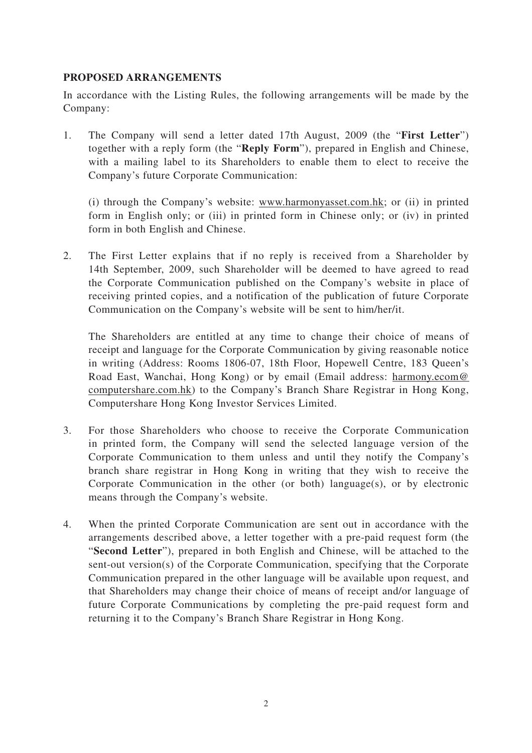## **PROPOSED ARRANGEMENTS**

In accordance with the Listing Rules, the following arrangements will be made by the Company:

1. The Company will send a letter dated 17th August, 2009 (the "**First Letter**") together with a reply form (the "**Reply Form**"), prepared in English and Chinese, with a mailing label to its Shareholders to enable them to elect to receive the Company's future Corporate Communication:

 (i) through the Company's website: www.harmonyasset.com.hk; or (ii) in printed form in English only; or (iii) in printed form in Chinese only; or (iv) in printed form in both English and Chinese.

2. The First Letter explains that if no reply is received from a Shareholder by 14th September, 2009, such Shareholder will be deemed to have agreed to read the Corporate Communication published on the Company's website in place of receiving printed copies, and a notification of the publication of future Corporate Communication on the Company's website will be sent to him/her/it.

 The Shareholders are entitled at any time to change their choice of means of receipt and language for the Corporate Communication by giving reasonable notice in writing (Address: Rooms 1806-07, 18th Floor, Hopewell Centre, 183 Queen's Road East, Wanchai, Hong Kong) or by email (Email address: harmony.ecom@ computershare.com.hk) to the Company's Branch Share Registrar in Hong Kong, Computershare Hong Kong Investor Services Limited.

- 3. For those Shareholders who choose to receive the Corporate Communication in printed form, the Company will send the selected language version of the Corporate Communication to them unless and until they notify the Company's branch share registrar in Hong Kong in writing that they wish to receive the Corporate Communication in the other (or both) language(s), or by electronic means through the Company's website.
- 4. When the printed Corporate Communication are sent out in accordance with the arrangements described above, a letter together with a pre-paid request form (the "**Second Letter**"), prepared in both English and Chinese, will be attached to the sent-out version(s) of the Corporate Communication, specifying that the Corporate Communication prepared in the other language will be available upon request, and that Shareholders may change their choice of means of receipt and/or language of future Corporate Communications by completing the pre-paid request form and returning it to the Company's Branch Share Registrar in Hong Kong.